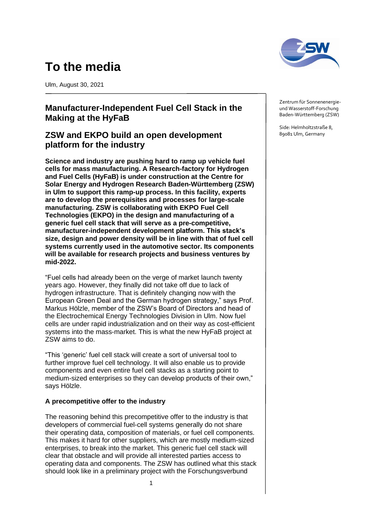# **To the media**

Ulm, August 30, 2021

# **Manufacturer-Independent Fuel Cell Stack in the Making at the HyFaB**

## **ZSW and EKPO build an open development platform for the industry**

**Science and industry are pushing hard to ramp up vehicle fuel cells for mass manufacturing. A Research-factory for Hydrogen and Fuel Cells (HyFaB) is under construction at the Centre for Solar Energy and Hydrogen Research Baden-Württemberg (ZSW) in Ulm to support this ramp-up process. In this facility, experts are to develop the prerequisites and processes for large-scale manufacturing. ZSW is collaborating with EKPO Fuel Cell Technologies (EKPO) in the design and manufacturing of a generic fuel cell stack that will serve as a pre-competitive, manufacturer-independent development platform. This stack's size, design and power density will be in line with that of fuel cell systems currently used in the automotive sector. Its components will be available for research projects and business ventures by mid-2022.**

"Fuel cells had already been on the verge of market launch twenty years ago. However, they finally did not take off due to lack of hydrogen infrastructure. That is definitely changing now with the European Green Deal and the German hydrogen strategy," says Prof. Markus Hölzle, member of the ZSW's Board of Directors and head of the Electrochemical Energy Technologies Division in Ulm. Now fuel cells are under rapid industrialization and on their way as cost-efficient systems into the mass-market. This is what the new HyFaB project at ZSW aims to do.

"This 'generic' fuel cell stack will create a sort of universal tool to further improve fuel cell technology. It will also enable us to provide components and even entire fuel cell stacks as a starting point to medium-sized enterprises so they can develop products of their own," says Hölzle.

### **A precompetitive offer to the industry**

The reasoning behind this precompetitive offer to the industry is that developers of commercial fuel-cell systems generally do not share their operating data, composition of materials, or fuel cell components. This makes it hard for other suppliers, which are mostly medium-sized enterprises, to break into the market. This generic fuel cell stack will clear that obstacle and will provide all interested parties access to operating data and components. The ZSW has outlined what this stack should look like in a preliminary project with the Forschungsverbund

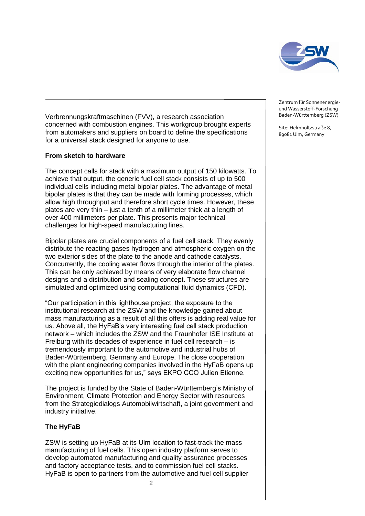

Verbrennungskraftmaschinen (FVV), a research association concerned with combustion engines. This workgroup brought experts from automakers and suppliers on board to define the specifications for a universal stack designed for anyone to use.

#### **From sketch to hardware**

The concept calls for stack with a maximum output of 150 kilowatts. To achieve that output, the generic fuel cell stack consists of up to 500 individual cells including metal bipolar plates. The advantage of metal bipolar plates is that they can be made with forming processes, which allow high throughput and therefore short cycle times. However, these plates are very thin – just a tenth of a millimeter thick at a length of over 400 millimeters per plate. This presents major technical challenges for high-speed manufacturing lines.

Bipolar plates are crucial components of a fuel cell stack. They evenly distribute the reacting gases hydrogen and atmospheric oxygen on the two exterior sides of the plate to the anode and cathode catalysts. Concurrently, the cooling water flows through the interior of the plates. This can be only achieved by means of very elaborate flow channel designs and a distribution and sealing concept. These structures are simulated and optimized using computational fluid dynamics (CFD).

"Our participation in this lighthouse project, the exposure to the institutional research at the ZSW and the knowledge gained about mass manufacturing as a result of all this offers is adding real value for us. Above all, the HyFaB's very interesting fuel cell stack production network – which includes the ZSW and the Fraunhofer ISE Institute at Freiburg with its decades of experience in fuel cell research – is tremendously important to the automotive and industrial hubs of Baden-Württemberg, Germany and Europe. The close cooperation with the plant engineering companies involved in the HyFaB opens up exciting new opportunities for us," says EKPO CCO Julien Etienne.

The project is funded by the State of Baden-Württemberg's Ministry of Environment, Climate Protection and Energy Sector with resources from the Strategiedialogs Automobilwirtschaft, a joint government and industry initiative.

### **The HyFaB**

ZSW is setting up HyFaB at its Ulm location to fast-track the mass manufacturing of fuel cells. This open industry platform serves to develop automated manufacturing and quality assurance processes and factory acceptance tests, and to commission fuel cell stacks. HyFaB is open to partners from the automotive and fuel cell supplier Zentrum für Sonnenenergieund Wasserstoff-Forschung Baden-Württemberg (ZSW)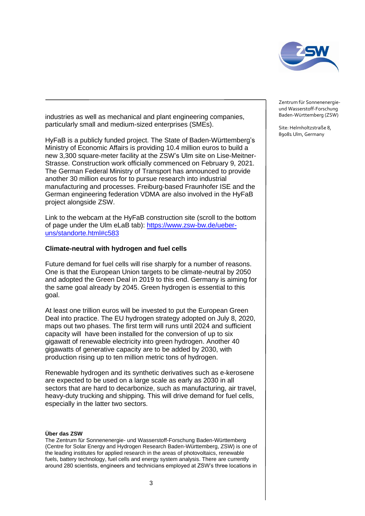

industries as well as mechanical and plant engineering companies, particularly small and medium-sized enterprises (SMEs).

HyFaB is a publicly funded project. The State of Baden-Württemberg's Ministry of Economic Affairs is providing 10.4 million euros to build a new 3,300 square-meter facility at the ZSW's Ulm site on Lise-Meitner-Strasse. Construction work officially commenced on February 9, 2021. The German Federal Ministry of Transport has announced to provide another 30 million euros for to pursue research into industrial manufacturing and processes. Freiburg-based Fraunhofer ISE and the German engineering federation VDMA are also involved in the HyFaB project alongside ZSW.

Link to the webcam at the HyFaB construction site (scroll to the bottom of page under the Ulm eLaB tab): [https://www.zsw-bw.de/ueber](https://www.zsw-bw.de/ueber-uns/standorte.html#c583)[uns/standorte.html#c583](https://www.zsw-bw.de/ueber-uns/standorte.html#c583)

#### **Climate-neutral with hydrogen and fuel cells**

Future demand for fuel cells will rise sharply for a number of reasons. One is that the European Union targets to be climate-neutral by 2050 and adopted the Green Deal in 2019 to this end. Germany is aiming for the same goal already by 2045. Green hydrogen is essential to this goal.

At least one trillion euros will be invested to put the European Green Deal into practice. The EU hydrogen strategy adopted on July 8, 2020, maps out two phases. The first term will runs until 2024 and sufficient capacity will have been installed for the conversion of up to six gigawatt of renewable electricity into green hydrogen. Another 40 gigawatts of generative capacity are to be added by 2030, with production rising up to ten million metric tons of hydrogen.

Renewable hydrogen and its synthetic derivatives such as e-kerosene are expected to be used on a large scale as early as 2030 in all sectors that are hard to decarbonize, such as manufacturing, air travel, heavy-duty trucking and shipping. This will drive demand for fuel cells, especially in the latter two sectors.

#### **Über das ZSW**

The Zentrum für Sonnenenergie- und Wasserstoff-Forschung Baden-Württemberg (Centre for Solar Energy and Hydrogen Research Baden-Württemberg, ZSW) is one of the leading institutes for applied research in the areas of photovoltaics, renewable fuels, battery technology, fuel cells and energy system analysis. There are currently around 280 scientists, engineers and technicians employed at ZSW's three locations in

Zentrum für Sonnenenergieund Wasserstoff-Forschung Baden-Württemberg (ZSW)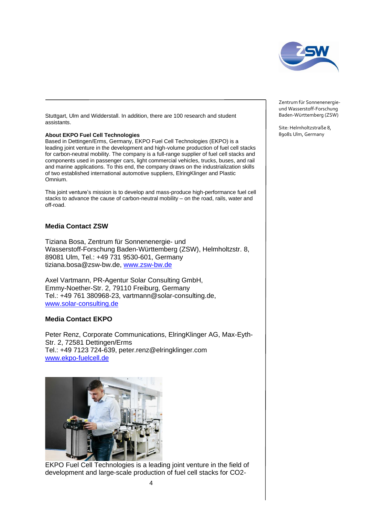

Stuttgart, Ulm and Widderstall. In addition, there are 100 research and student assistants.

#### **About EKPO Fuel Cell Technologies**

Based in Dettingen/Erms, Germany, EKPO Fuel Cell Technologies (EKPO) is a leading joint venture in the development and high-volume production of fuel cell stacks for carbon-neutral mobility. The company is a full-range supplier of fuel cell stacks and components used in passenger cars, light commercial vehicles, trucks, buses, and rail and marine applications. To this end, the company draws on the industrialization skills of two established international automotive suppliers, ElringKlinger and Plastic Omnium.

This joint venture's mission is to develop and mass-produce high-performance fuel cell stacks to advance the cause of carbon-neutral mobility – on the road, rails, water and off-road.

#### **Media Contact ZSW**

Tiziana Bosa, Zentrum für Sonnenenergie- und Wasserstoff-Forschung Baden-Württemberg (ZSW), Helmholtzstr. 8, 89081 Ulm, Tel.: +49 731 9530-601, Germany tiziana.bosa@zsw-bw.de, [www.zsw-bw.de](http://www.zsw-bw.de/)

Axel Vartmann, PR-Agentur Solar Consulting GmbH, Emmy-Noether-Str. 2, 79110 Freiburg, Germany Tel.: +49 761 380968-23, vartmann@solar-consulting.de, [www.solar-consulting.de](http://www.solar-consulting.de/)

#### **Media Contact EKPO**

Peter Renz, Corporate Communications, ElringKlinger AG, Max-Eyth-Str. 2, 72581 Dettingen/Erms Tel.: +49 7123 724-639, peter.renz@elringklinger.com [www.ekpo-fuelcell.de](file://///zstore10/org-hltz-s/Öffentlichkeitsarbeit/Medienarbeit/2021/PI_HyFaB-EKPO/An%20Vorstand%20mit%20EKPO/www.ekpo-fuelcell.de)



EKPO Fuel Cell Technologies is a leading joint venture in the field of development and large-scale production of fuel cell stacks for CO2Zentrum für Sonnenenergieund Wasserstoff-Forschung Baden-Württemberg (ZSW)